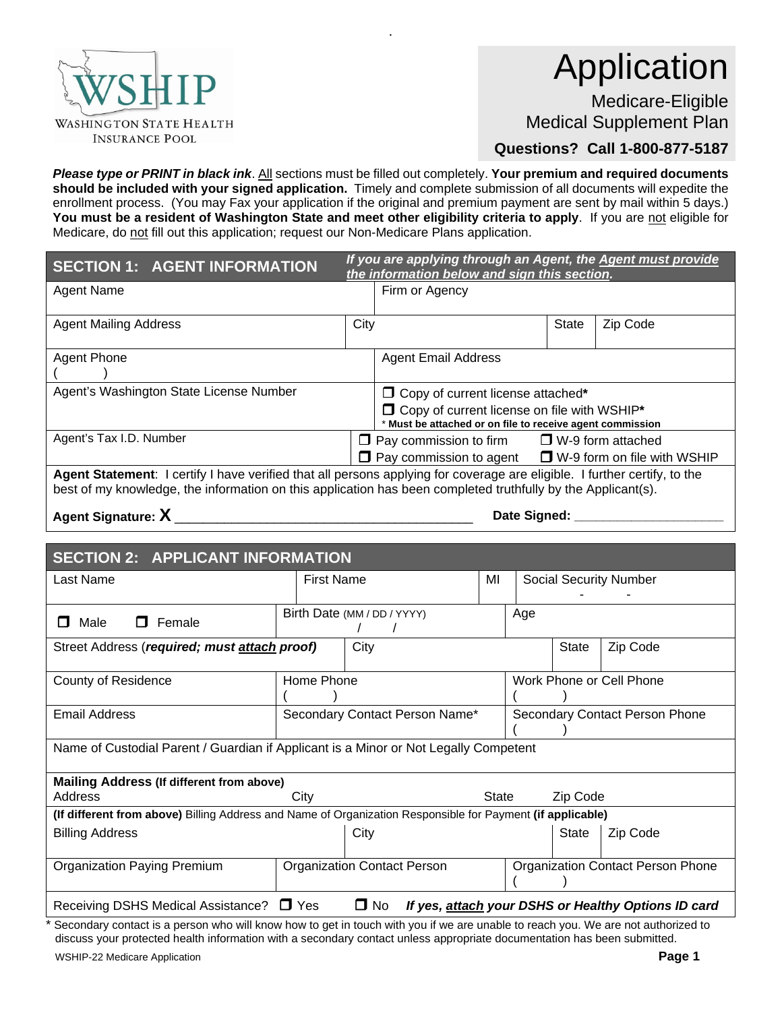

# Application

Medicare-Eligible Medical Supplement Plan

**Questions? Call 1-800-877-5187**

*Please type or PRINT in black ink*. All sections must be filled out completely. **Your premium and required documents should be included with your signed application.** Timely and complete submission of all documents will expedite the enrollment process. (You may Fax your application if the original and premium payment are sent by mail within 5 days.) You must be a resident of Washington State and meet other eligibility criteria to apply. If you are not eligible for Medicare, do not fill out this application; request our Non-Medicare Plans application.

.

| <b>SECTION 1: AGENT INFORMATION</b>                                                                                                                                                                                                       | If you are applying through an Agent, the Agent must provide<br>the information below and sign this section. |                                                                                                            |       |                                    |
|-------------------------------------------------------------------------------------------------------------------------------------------------------------------------------------------------------------------------------------------|--------------------------------------------------------------------------------------------------------------|------------------------------------------------------------------------------------------------------------|-------|------------------------------------|
| <b>Agent Name</b>                                                                                                                                                                                                                         |                                                                                                              | Firm or Agency                                                                                             |       |                                    |
| <b>Agent Mailing Address</b>                                                                                                                                                                                                              | City                                                                                                         |                                                                                                            | State | Zip Code                           |
| Agent Phone                                                                                                                                                                                                                               |                                                                                                              | <b>Agent Email Address</b>                                                                                 |       |                                    |
| Agent's Washington State License Number                                                                                                                                                                                                   |                                                                                                              | $\Box$ Copy of current license attached*                                                                   |       |                                    |
|                                                                                                                                                                                                                                           |                                                                                                              | □ Copy of current license on file with WSHIP*<br>* Must be attached or on file to receive agent commission |       |                                    |
| Agent's Tax I.D. Number                                                                                                                                                                                                                   |                                                                                                              | $\Box$ Pay commission to firm $\Box$ W-9 form attached                                                     |       |                                    |
|                                                                                                                                                                                                                                           |                                                                                                              | $\Box$ Pay commission to agent                                                                             |       | $\Box$ W-9 form on file with WSHIP |
| Agent Statement: I certify I have verified that all persons applying for coverage are eligible. I further certify, to the<br>best of my knowledge, the information on this application has been completed truthfully by the Applicant(s). |                                                                                                              |                                                                                                            |       |                                    |

**Agent Signature: X** \_\_\_\_\_\_\_\_\_\_\_\_\_\_\_\_\_\_\_\_\_\_\_\_\_\_\_\_\_\_\_\_\_\_\_\_\_\_\_\_\_\_ **Date Signed: \_\_\_\_\_\_\_\_\_\_\_\_\_\_\_\_\_\_\_\_\_**

| <b>SECTION 2: APPLICANT INFORMATION</b>                                                                              |                                    |                             |                               |                                |          |                                   |
|----------------------------------------------------------------------------------------------------------------------|------------------------------------|-----------------------------|-------------------------------|--------------------------------|----------|-----------------------------------|
| Last Name                                                                                                            | <b>First Name</b><br>MI            |                             | <b>Social Security Number</b> |                                |          |                                   |
|                                                                                                                      |                                    |                             |                               |                                |          |                                   |
| Female<br>Male<br>П.<br>П                                                                                            |                                    | Birth Date (MM / DD / YYYY) |                               | Age                            |          |                                   |
| City<br><b>State</b><br>Zip Code<br>Street Address (required; must attach proof)                                     |                                    |                             |                               |                                |          |                                   |
| <b>County of Residence</b>                                                                                           | Home Phone                         |                             |                               | Work Phone or Cell Phone       |          |                                   |
| <b>Email Address</b>                                                                                                 | Secondary Contact Person Name*     |                             |                               | Secondary Contact Person Phone |          |                                   |
| Name of Custodial Parent / Guardian if Applicant is a Minor or Not Legally Competent                                 |                                    |                             |                               |                                |          |                                   |
| <b>Mailing Address (If different from above)</b>                                                                     |                                    |                             |                               |                                |          |                                   |
| Address                                                                                                              | City                               |                             | <b>State</b>                  |                                | Zip Code |                                   |
| (If different from above) Billing Address and Name of Organization Responsible for Payment (if applicable)           |                                    |                             |                               |                                |          |                                   |
| <b>Billing Address</b>                                                                                               | City                               |                             |                               |                                | State    | Zip Code                          |
|                                                                                                                      |                                    |                             |                               |                                |          |                                   |
| Organization Paying Premium                                                                                          | <b>Organization Contact Person</b> |                             |                               |                                |          | Organization Contact Person Phone |
| $\Box$ No<br>Receiving DSHS Medical Assistance?<br>$\Box$ Yes<br>If yes, attach your DSHS or Healthy Options ID card |                                    |                             |                               |                                |          |                                   |

Secondary contact is a person who will know how to get in touch with you if we are unable to reach you. We are not authorized to discuss your protected health information with a secondary contact unless appropriate documentation has been submitted.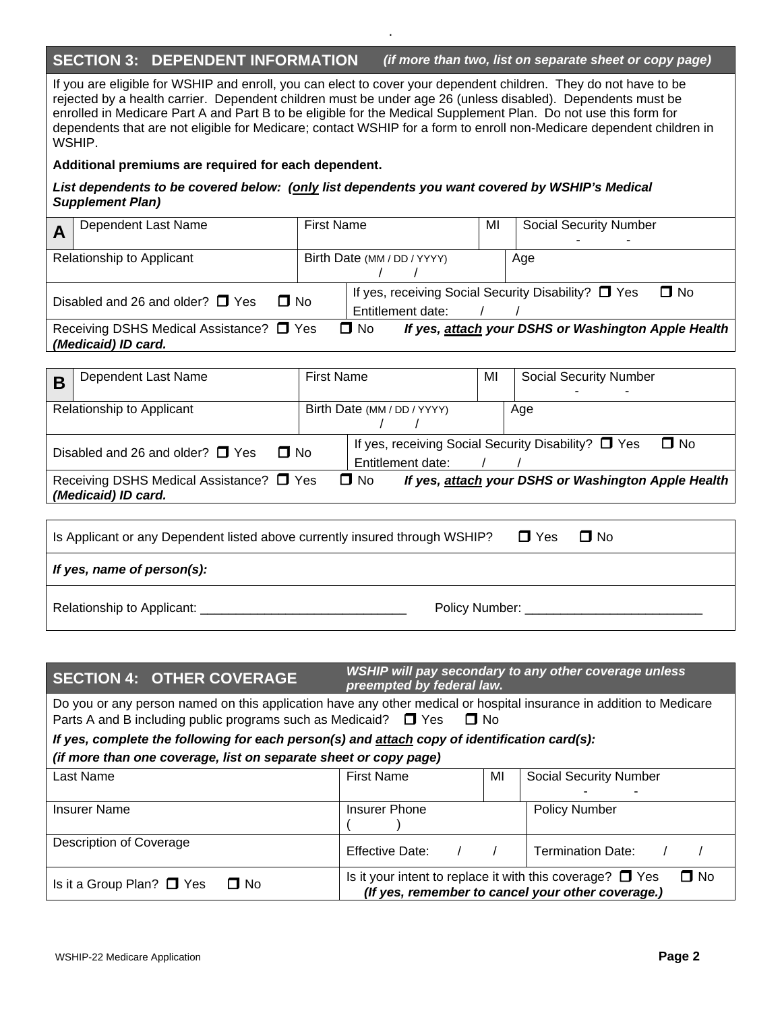### **SECTION 3: DEPENDENT INFORMATION** *(if more than two, list on separate sheet or copy page)*

If you are eligible for WSHIP and enroll, you can elect to cover your dependent children. They do not have to be rejected by a health carrier. Dependent children must be under age 26 (unless disabled). Dependents must be enrolled in Medicare Part A and Part B to be eligible for the Medical Supplement Plan. Do not use this form for dependents that are not eligible for Medicare; contact WSHIP for a form to enroll non-Medicare dependent children in WSHIP.

.

#### **Additional premiums are required for each dependent.**

#### *List dependents to be covered below: (only list dependents you want covered by WSHIP's Medical Supplement Plan)*

| Dependent Last Name                                             | <b>First Name</b> |                                                                               | MI | <b>Social Security Number</b>                       |
|-----------------------------------------------------------------|-------------------|-------------------------------------------------------------------------------|----|-----------------------------------------------------|
| Relationship to Applicant                                       |                   | Birth Date (MM / DD / YYYY)                                                   |    | Age                                                 |
| Disabled and 26 and older? $\Box$ Yes<br>$\Box$ No              |                   | If yes, receiving Social Security Disability? $\Box$ Yes<br>Entitlement date: |    | $\Box$ No                                           |
| Receiving DSHS Medical Assistance? □ Yes<br>(Medicaid) ID card. |                   | $\Box$ No                                                                     |    | If yes, attach your DSHS or Washington Apple Health |
|                                                                 |                   |                                                                               |    |                                                     |

| B | Dependent Last Name                      | <b>First Name</b> |                             |                   | МI | <b>Social Security Number</b>                                    |
|---|------------------------------------------|-------------------|-----------------------------|-------------------|----|------------------------------------------------------------------|
|   |                                          |                   |                             |                   |    |                                                                  |
|   | Relationship to Applicant                |                   | Birth Date (MM / DD / YYYY) |                   |    | Age                                                              |
|   |                                          |                   |                             |                   |    |                                                                  |
|   | $\Box$ No                                |                   |                             |                   |    | If yes, receiving Social Security Disability? □ Yes<br>$\Box$ No |
|   | Disabled and 26 and older? $\Box$ Yes    |                   |                             | Entitlement date: |    |                                                                  |
|   | Receiving DSHS Medical Assistance? □ Yes |                   | $\Box$ No                   |                   |    | If yes, attach your DSHS or Washington Apple Health              |
|   | (Medicaid) ID card.                      |                   |                             |                   |    |                                                                  |

| Is Applicant or any Dependent listed above currently insured through WSHIP? |                     | $\Box$ Yes | $\Box$ No |
|-----------------------------------------------------------------------------|---------------------|------------|-----------|
| If yes, name of person(s):                                                  |                     |            |           |
|                                                                             | Policy Number: 2008 |            |           |

|                                                                                                                                                                                                          | <b>SECTION 4: OTHER COVERAGE</b>                                                             | WSHIP will pay secondary to any other coverage unless<br>preempted by federal law.                                               |    |                               |  |  |
|----------------------------------------------------------------------------------------------------------------------------------------------------------------------------------------------------------|----------------------------------------------------------------------------------------------|----------------------------------------------------------------------------------------------------------------------------------|----|-------------------------------|--|--|
| Do you or any person named on this application have any other medical or hospital insurance in addition to Medicare<br>Parts A and B including public programs such as Medicaid? $\Box$ Yes<br>$\Box$ No |                                                                                              |                                                                                                                                  |    |                               |  |  |
|                                                                                                                                                                                                          | If yes, complete the following for each person(s) and attach copy of identification card(s): |                                                                                                                                  |    |                               |  |  |
| (if more than one coverage, list on separate sheet or copy page)                                                                                                                                         |                                                                                              |                                                                                                                                  |    |                               |  |  |
| Last Name                                                                                                                                                                                                |                                                                                              | <b>First Name</b>                                                                                                                | MI | <b>Social Security Number</b> |  |  |
| <b>Insurer Name</b>                                                                                                                                                                                      |                                                                                              | <b>Policy Number</b><br><b>Insurer Phone</b>                                                                                     |    |                               |  |  |
| Description of Coverage                                                                                                                                                                                  |                                                                                              | <b>Effective Date:</b>                                                                                                           |    | <b>Termination Date:</b>      |  |  |
| Is it a Group Plan? $\Box$ Yes                                                                                                                                                                           | $\Box$ No                                                                                    | $\Box$ No<br>Is it your intent to replace it with this coverage? $\Box$ Yes<br>(If yes, remember to cancel your other coverage.) |    |                               |  |  |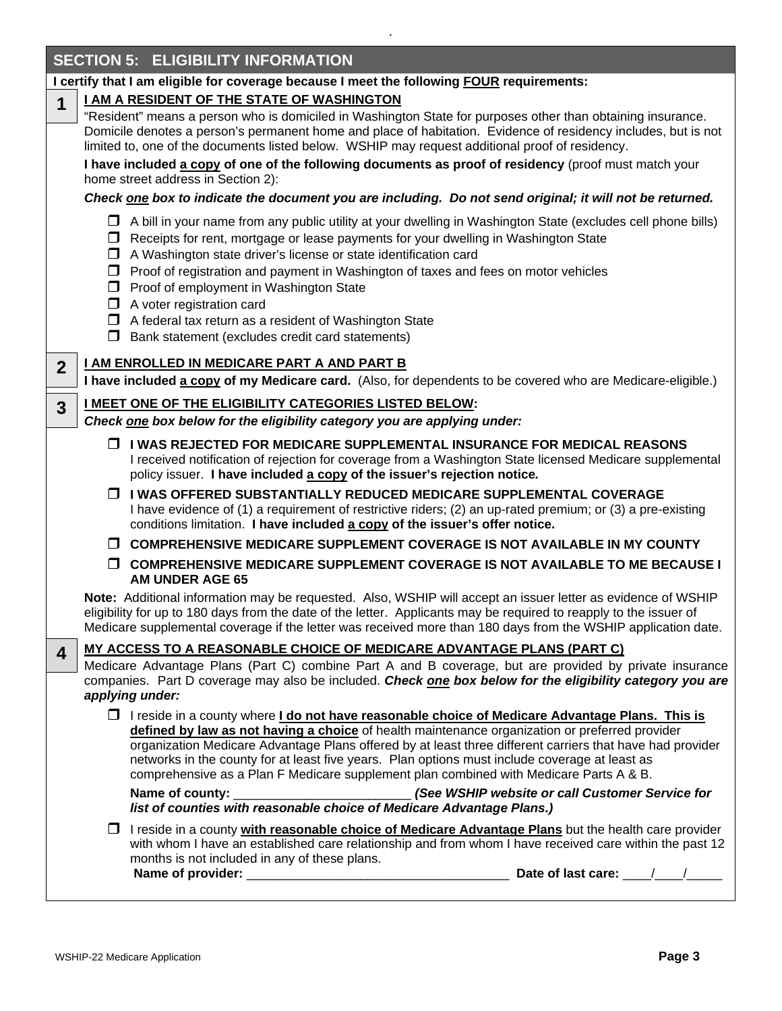|                | <b>SECTION 5: ELIGIBILITY INFORMATION</b>                                                                                                                                                                                                                                                                                                                                                                                                                                                                                                                                     |
|----------------|-------------------------------------------------------------------------------------------------------------------------------------------------------------------------------------------------------------------------------------------------------------------------------------------------------------------------------------------------------------------------------------------------------------------------------------------------------------------------------------------------------------------------------------------------------------------------------|
|                | I certify that I am eligible for coverage because I meet the following FOUR requirements:                                                                                                                                                                                                                                                                                                                                                                                                                                                                                     |
| $\mathbf 1$    | I AM A RESIDENT OF THE STATE OF WASHINGTON                                                                                                                                                                                                                                                                                                                                                                                                                                                                                                                                    |
|                | "Resident" means a person who is domiciled in Washington State for purposes other than obtaining insurance.<br>Domicile denotes a person's permanent home and place of habitation. Evidence of residency includes, but is not<br>limited to, one of the documents listed below. WSHIP may request additional proof of residency.<br>I have included a copy of one of the following documents as proof of residency (proof must match your                                                                                                                                     |
|                | home street address in Section 2):                                                                                                                                                                                                                                                                                                                                                                                                                                                                                                                                            |
|                | Check one box to indicate the document you are including. Do not send original; it will not be returned.                                                                                                                                                                                                                                                                                                                                                                                                                                                                      |
|                | A bill in your name from any public utility at your dwelling in Washington State (excludes cell phone bills)<br>□ Receipts for rent, mortgage or lease payments for your dwelling in Washington State<br>A Washington state driver's license or state identification card<br>□ Proof of registration and payment in Washington of taxes and fees on motor vehicles<br>Proof of employment in Washington State<br>$\Box$ A voter registration card<br>$\Box$ A federal tax return as a resident of Washington State<br>$\Box$ Bank statement (excludes credit card statements) |
|                | <b>I AM ENROLLED IN MEDICARE PART A AND PART B</b>                                                                                                                                                                                                                                                                                                                                                                                                                                                                                                                            |
| $\overline{2}$ | I have included a copy of my Medicare card. (Also, for dependents to be covered who are Medicare-eligible.)                                                                                                                                                                                                                                                                                                                                                                                                                                                                   |
| $\overline{3}$ | I MEET ONE OF THE ELIGIBILITY CATEGORIES LISTED BELOW:                                                                                                                                                                                                                                                                                                                                                                                                                                                                                                                        |
|                | Check one box below for the eligibility category you are applying under:                                                                                                                                                                                                                                                                                                                                                                                                                                                                                                      |
|                | □ I WAS REJECTED FOR MEDICARE SUPPLEMENTAL INSURANCE FOR MEDICAL REASONS<br>I received notification of rejection for coverage from a Washington State licensed Medicare supplemental<br>policy issuer. I have included a copy of the issuer's rejection notice.                                                                                                                                                                                                                                                                                                               |
|                | □ I WAS OFFERED SUBSTANTIALLY REDUCED MEDICARE SUPPLEMENTAL COVERAGE<br>I have evidence of (1) a requirement of restrictive riders; (2) an up-rated premium; or (3) a pre-existing<br>conditions limitation. I have included a copy of the issuer's offer notice.                                                                                                                                                                                                                                                                                                             |
|                | □ COMPREHENSIVE MEDICARE SUPPLEMENT COVERAGE IS NOT AVAILABLE IN MY COUNTY                                                                                                                                                                                                                                                                                                                                                                                                                                                                                                    |
|                | □ COMPREHENSIVE MEDICARE SUPPLEMENT COVERAGE IS NOT AVAILABLE TO ME BECAUSE I<br><b>AM UNDER AGE 65</b>                                                                                                                                                                                                                                                                                                                                                                                                                                                                       |
|                | Note: Additional information may be requested. Also, WSHIP will accept an issuer letter as evidence of WSHIP<br>eligibility for up to 180 days from the date of the letter. Applicants may be required to reapply to the issuer of<br>Medicare supplemental coverage if the letter was received more than 180 days from the WSHIP application date.                                                                                                                                                                                                                           |
| 4              | <u>MY ACCESS TO A REASONABLE CHOICE OF MEDICARE ADVANTAGE PLANS (PART C)</u>                                                                                                                                                                                                                                                                                                                                                                                                                                                                                                  |
|                | Medicare Advantage Plans (Part C) combine Part A and B coverage, but are provided by private insurance<br>companies. Part D coverage may also be included. Check one box below for the eligibility category you are<br>applying under:                                                                                                                                                                                                                                                                                                                                        |
|                | □ I reside in a county where I do not have reasonable choice of Medicare Advantage Plans. This is<br>defined by law as not having a choice of health maintenance organization or preferred provider<br>organization Medicare Advantage Plans offered by at least three different carriers that have had provider<br>networks in the county for at least five years. Plan options must include coverage at least as<br>comprehensive as a Plan F Medicare supplement plan combined with Medicare Parts A & B.                                                                  |
|                | (See WSHIP website or call Customer Service for<br>Name of county:<br>list of counties with reasonable choice of Medicare Advantage Plans.)                                                                                                                                                                                                                                                                                                                                                                                                                                   |
|                | □ I reside in a county with reasonable choice of Medicare Advantage Plans but the health care provider<br>with whom I have an established care relationship and from whom I have received care within the past 12<br>months is not included in any of these plans.<br>Date of last care:                                                                                                                                                                                                                                                                                      |
|                |                                                                                                                                                                                                                                                                                                                                                                                                                                                                                                                                                                               |

.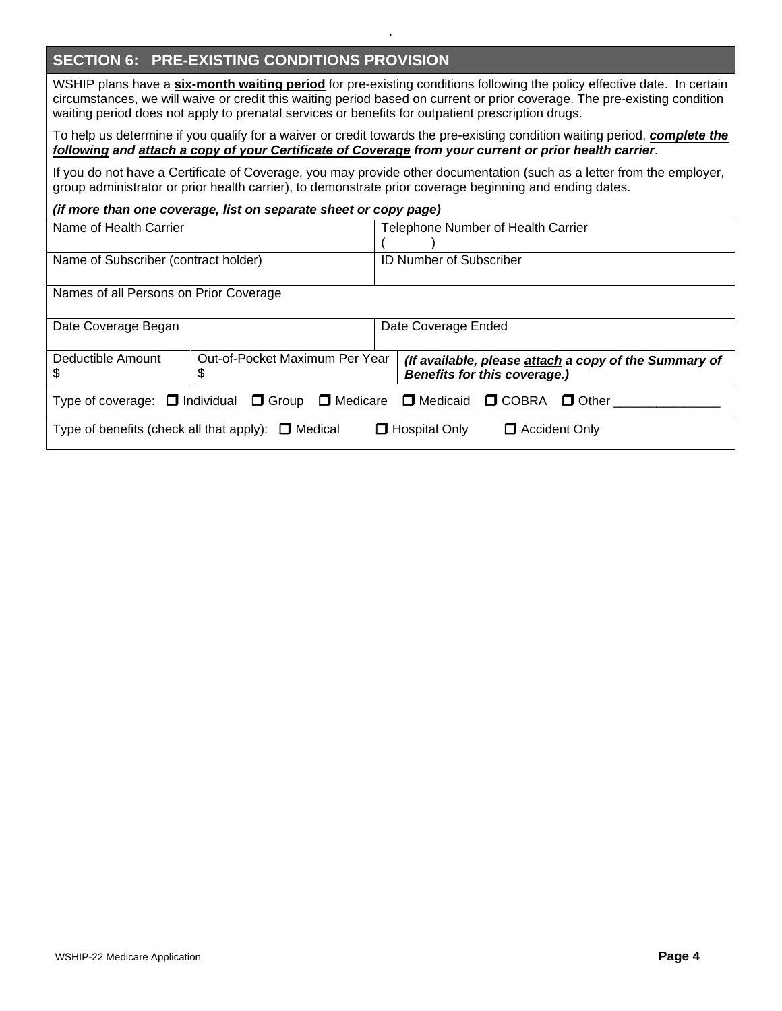# **SECTION 6: PRE-EXISTING CONDITIONS PROVISION**

WSHIP plans have a **six-month waiting period** for pre-existing conditions following the policy effective date. In certain circumstances, we will waive or credit this waiting period based on current or prior coverage. The pre-existing condition waiting period does not apply to prenatal services or benefits for outpatient prescription drugs.

.

To help us determine if you qualify for a waiver or credit towards the pre-existing condition waiting period, *complete the following and attach a copy of your Certificate of Coverage from your current or prior health carrier*.

If you do not have a Certificate of Coverage, you may provide other documentation (such as a letter from the employer, group administrator or prior health carrier), to demonstrate prior coverage beginning and ending dates.

#### *(if more than one coverage, list on separate sheet or copy page)*

| Name of Health Carrier                 |                                                         | Telephone Number of Health Carrier                                                                         |  |  |
|----------------------------------------|---------------------------------------------------------|------------------------------------------------------------------------------------------------------------|--|--|
|                                        |                                                         |                                                                                                            |  |  |
| Name of Subscriber (contract holder)   |                                                         | <b>ID Number of Subscriber</b>                                                                             |  |  |
|                                        |                                                         |                                                                                                            |  |  |
| Names of all Persons on Prior Coverage |                                                         |                                                                                                            |  |  |
|                                        |                                                         |                                                                                                            |  |  |
| Date Coverage Began                    |                                                         | Date Coverage Ended                                                                                        |  |  |
|                                        |                                                         |                                                                                                            |  |  |
| Deductible Amount                      | Out-of-Pocket Maximum Per Year                          | (If available, please attach a copy of the Summary of                                                      |  |  |
| S                                      | \$                                                      | <b>Benefits for this coverage.)</b>                                                                        |  |  |
|                                        |                                                         | Type of coverage: $\Box$ Individual $\Box$ Group $\Box$ Medicare $\Box$ Medicaid $\Box$ COBRA $\Box$ Other |  |  |
|                                        |                                                         |                                                                                                            |  |  |
|                                        | Type of benefits (check all that apply): $\Box$ Medical | $\Box$ Hospital Only<br>$\Box$ Accident Only                                                               |  |  |
|                                        |                                                         |                                                                                                            |  |  |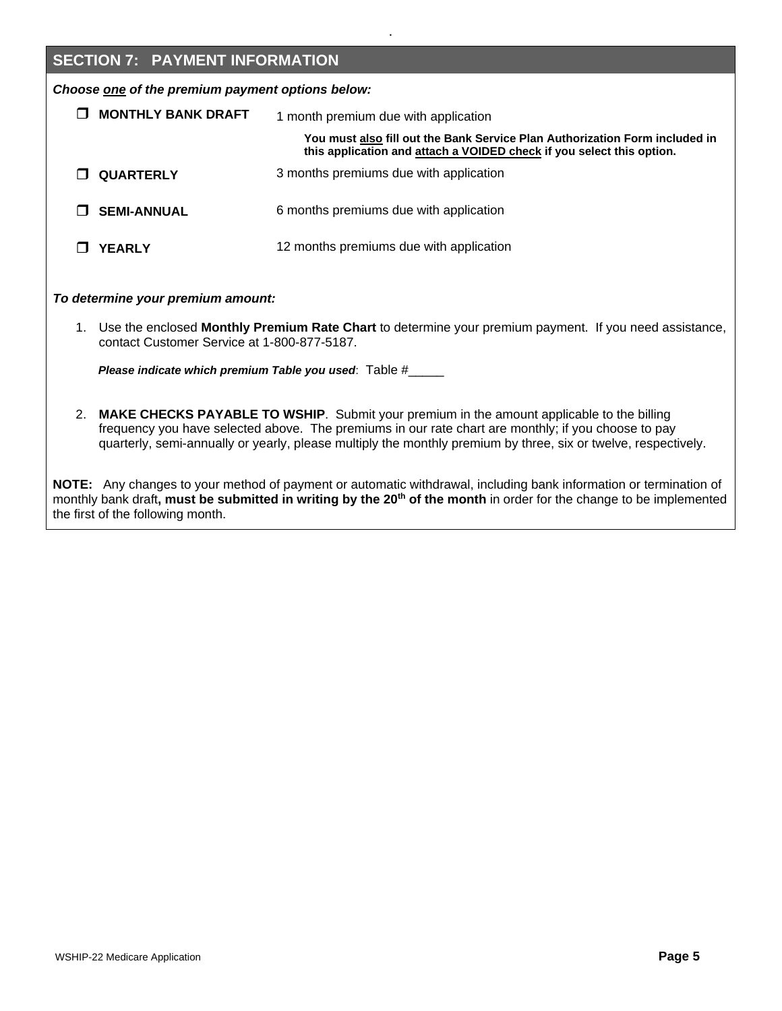## **SECTION 7: PAYMENT INFORMATION**

*Choose one of the premium payment options below:*

| <b>MONTHLY BANK DRAFT</b> | 1 month premium due with application                                                                                                                 |  |  |  |
|---------------------------|------------------------------------------------------------------------------------------------------------------------------------------------------|--|--|--|
|                           | You must also fill out the Bank Service Plan Authorization Form included in<br>this application and attach a VOIDED check if you select this option. |  |  |  |
| <b>QUARTERLY</b>          | 3 months premiums due with application                                                                                                               |  |  |  |
| <b>SEMI-ANNUAL</b>        | 6 months premiums due with application                                                                                                               |  |  |  |
| <b>YEARLY</b>             | 12 months premiums due with application                                                                                                              |  |  |  |

.

*To determine your premium amount:*

1. Use the enclosed **Monthly Premium Rate Chart** to determine your premium payment. If you need assistance, contact Customer Service at 1-800-877-5187.

 *Please indicate which premium Table you used*: Table #\_\_\_\_\_

2. **MAKE CHECKS PAYABLE TO WSHIP**. Submit your premium in the amount applicable to the billing frequency you have selected above. The premiums in our rate chart are monthly; if you choose to pay quarterly, semi-annually or yearly, please multiply the monthly premium by three, six or twelve, respectively.

**NOTE:** Any changes to your method of payment or automatic withdrawal, including bank information or termination of monthly bank draft**, must be submitted in writing by the 20th of the month** in order for the change to be implemented the first of the following month.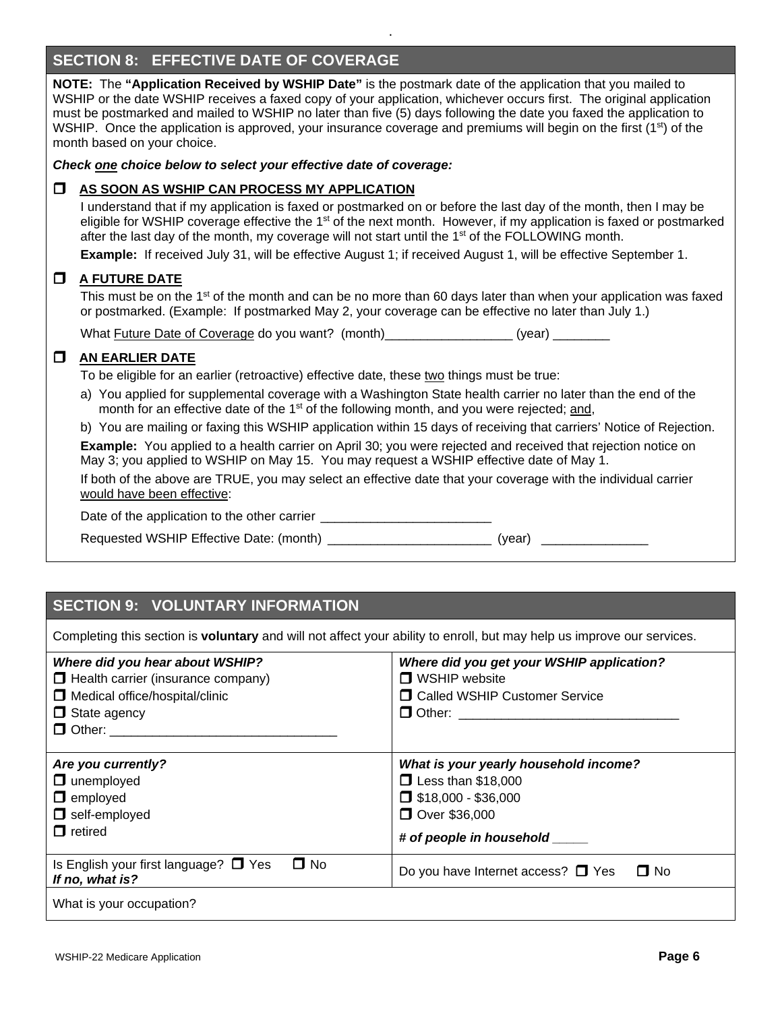# **SECTION 8: EFFECTIVE DATE OF COVERAGE**

**NOTE:** The **"Application Received by WSHIP Date"** is the postmark date of the application that you mailed to WSHIP or the date WSHIP receives a faxed copy of your application, whichever occurs first. The original application must be postmarked and mailed to WSHIP no later than five (5) days following the date you faxed the application to WSHIP. Once the application is approved, your insurance coverage and premiums will begin on the first (1<sup>st</sup>) of the month based on your choice.

.

*Check one choice below to select your effective date of coverage:*

#### **AS SOON AS WSHIP CAN PROCESS MY APPLICATION**

I understand that if my application is faxed or postmarked on or before the last day of the month, then I may be eligible for WSHIP coverage effective the 1<sup>st</sup> of the next month. However, if my application is faxed or postmarked after the last day of the month, my coverage will not start until the 1<sup>st</sup> of the FOLLOWING month.

**Example:** If received July 31, will be effective August 1; if received August 1, will be effective September 1.

#### **A FUTURE DATE**

This must be on the 1<sup>st</sup> of the month and can be no more than 60 days later than when your application was faxed or postmarked. (Example: If postmarked May 2, your coverage can be effective no later than July 1.)

What Future Date of Coverage do you want? (month) (vear) (year)

#### $\Box$  AN EARLIER DATE

To be eligible for an earlier (retroactive) effective date, these two things must be true:

a) You applied for supplemental coverage with a Washington State health carrier no later than the end of the month for an effective date of the 1<sup>st</sup> of the following month, and you were rejected; and,

b) You are mailing or faxing this WSHIP application within 15 days of receiving that carriers' Notice of Rejection.

**Example:** You applied to a health carrier on April 30; you were rejected and received that rejection notice on May 3; you applied to WSHIP on May 15. You may request a WSHIP effective date of May 1.

If both of the above are TRUE, you may select an effective date that your coverage with the individual carrier would have been effective:

Date of the application to the other carrier \_\_\_\_\_\_\_\_\_\_\_\_\_\_\_\_\_\_\_\_\_\_\_\_

Requested WSHIP Effective Date: (month)  $(year)$ 

# **SECTION 9: VOLUNTARY INFORMATION**

Completing this section is **voluntary** and will not affect your ability to enroll, but may help us improve our services.

| Where did you hear about WSHIP?<br>$\Box$ Health carrier (insurance company)<br>Medical office/hospital/clinic<br>$\Box$ State agency<br>$\Box$ Other: | Where did you get your WSHIP application?<br>$\Box$ WSHIP website<br><b>O</b> Called WSHIP Customer Service                                     |
|--------------------------------------------------------------------------------------------------------------------------------------------------------|-------------------------------------------------------------------------------------------------------------------------------------------------|
| Are you currently?<br>$\Box$ unemployed<br>$\Box$ employed<br>$\Box$ self-employed<br>$\Box$ retired                                                   | What is your yearly household income?<br>$\Box$ Less than \$18,000<br>$\Box$ \$18,000 - \$36,000<br>□ Over \$36,000<br># of people in household |
| $\square$ No<br>Is English your first language? $\Box$ Yes<br>If no, what is?                                                                          | $\Box$ No<br>Do you have Internet access? $\Box$ Yes                                                                                            |
| What is your occupation?                                                                                                                               |                                                                                                                                                 |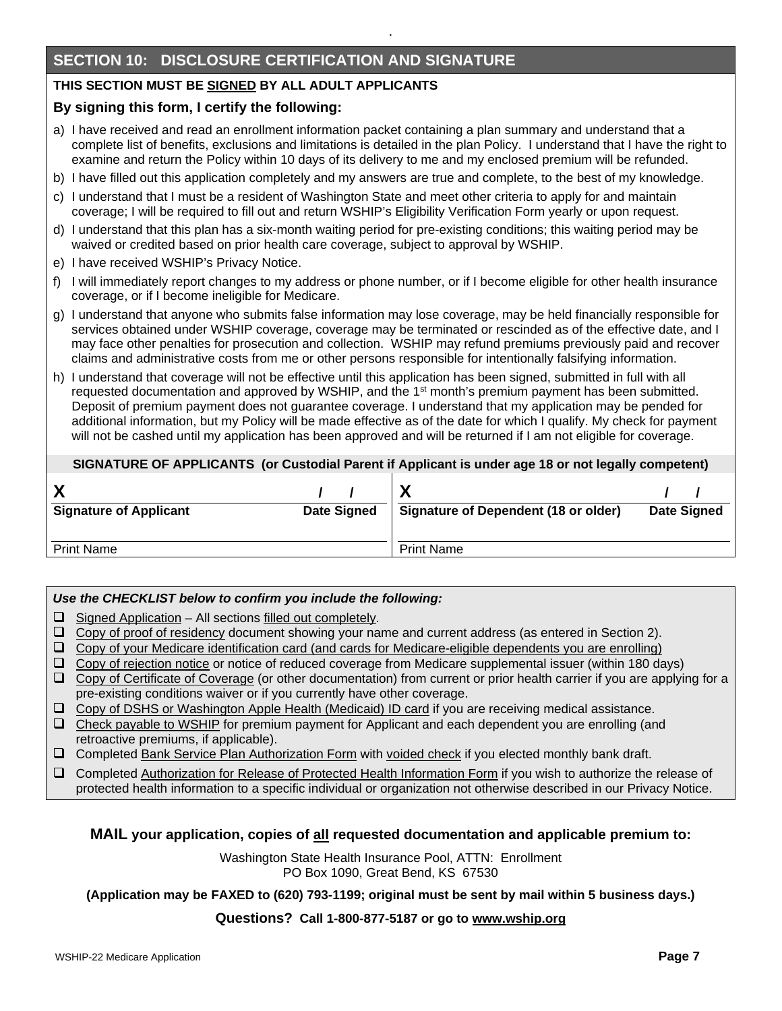# **SECTION 10: DISCLOSURE CERTIFICATION AND SIGNATURE**

### **THIS SECTION MUST BE SIGNED BY ALL ADULT APPLICANTS**

#### **By signing this form, I certify the following:**

a) I have received and read an enrollment information packet containing a plan summary and understand that a complete list of benefits, exclusions and limitations is detailed in the plan Policy. I understand that I have the right to examine and return the Policy within 10 days of its delivery to me and my enclosed premium will be refunded.

.

- b) I have filled out this application completely and my answers are true and complete, to the best of my knowledge.
- c) I understand that I must be a resident of Washington State and meet other criteria to apply for and maintain coverage; I will be required to fill out and return WSHIP's Eligibility Verification Form yearly or upon request.
- d) I understand that this plan has a six-month waiting period for pre-existing conditions; this waiting period may be waived or credited based on prior health care coverage, subject to approval by WSHIP.
- e) I have received WSHIP's Privacy Notice.
- f) I will immediately report changes to my address or phone number, or if I become eligible for other health insurance coverage, or if I become ineligible for Medicare.
- g) I understand that anyone who submits false information may lose coverage, may be held financially responsible for services obtained under WSHIP coverage, coverage may be terminated or rescinded as of the effective date, and I may face other penalties for prosecution and collection. WSHIP may refund premiums previously paid and recover claims and administrative costs from me or other persons responsible for intentionally falsifying information.
- h) I understand that coverage will not be effective until this application has been signed, submitted in full with all requested documentation and approved by WSHIP, and the 1<sup>st</sup> month's premium payment has been submitted. Deposit of premium payment does not guarantee coverage. I understand that my application may be pended for additional information, but my Policy will be made effective as of the date for which I qualify. My check for payment will not be cashed until my application has been approved and will be returned if I am not eligible for coverage.

#### **SIGNATURE OF APPLICANTS (or Custodial Parent if Applicant is under age 18 or not legally competent)**

| <b>Signature of Applicant</b> | <b>Date Signed</b> | Signature of Dependent (18 or older) | <b>Date Signed</b> |
|-------------------------------|--------------------|--------------------------------------|--------------------|
| <b>Print Name</b>             |                    | <b>Print Name</b>                    |                    |

#### *Use the CHECKLIST below to confirm you include the following:*

- $\Box$  Signed Application All sections filled out completely.
- $\Box$  Copy of proof of residency document showing your name and current address (as entered in Section 2).
- $\Box$  Copy of your Medicare identification card (and cards for Medicare-eligible dependents you are enrolling)
- $\Box$  Copy of rejection notice or notice of reduced coverage from Medicare supplemental issuer (within 180 days)
- $\Box$  Copy of Certificate of Coverage (or other documentation) from current or prior health carrier if you are applying for a pre-existing conditions waiver or if you currently have other coverage.
- Copy of DSHS or Washington Apple Health (Medicaid) ID card if you are receiving medical assistance.
- $\Box$  Check payable to WSHIP for premium payment for Applicant and each dependent you are enrolling (and retroactive premiums, if applicable).
- Completed Bank Service Plan Authorization Form with voided check if you elected monthly bank draft.
- Completed Authorization for Release of Protected Health Information Form if you wish to authorize the release of protected health information to a specific individual or organization not otherwise described in our Privacy Notice.

#### **MAIL your application, copies of all requested documentation and applicable premium to:**

Washington State Health Insurance Pool, ATTN: Enrollment PO Box 1090, Great Bend, KS 67530

**(Application may be FAXED to (620) 793-1199; original must be sent by mail within 5 business days.)**

#### **Questions? Call 1-800-877-5187 or go to [www.wship.org](http://www.wship.org/)**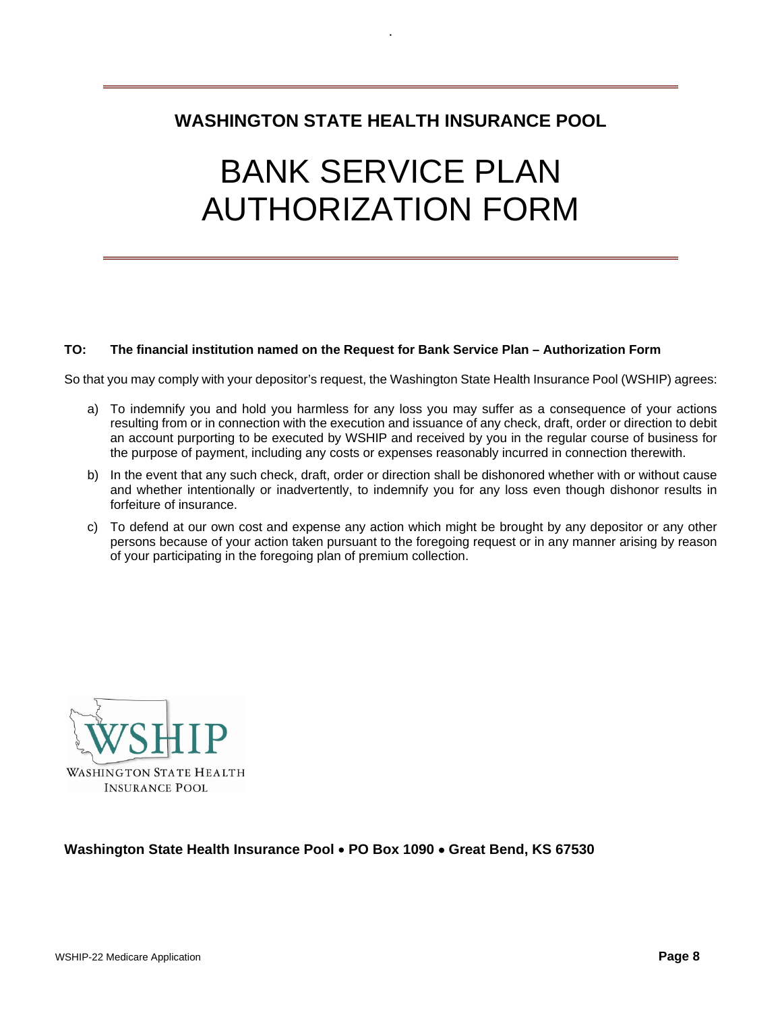# **WASHINGTON STATE HEALTH INSURANCE POOL**

.

# BANK SERVICE PLAN AUTHORIZATION FORM

#### **TO: The financial institution named on the Request for Bank Service Plan – Authorization Form**

So that you may comply with your depositor's request, the Washington State Health Insurance Pool (WSHIP) agrees:

- a) To indemnify you and hold you harmless for any loss you may suffer as a consequence of your actions resulting from or in connection with the execution and issuance of any check, draft, order or direction to debit an account purporting to be executed by WSHIP and received by you in the regular course of business for the purpose of payment, including any costs or expenses reasonably incurred in connection therewith.
- b) In the event that any such check, draft, order or direction shall be dishonored whether with or without cause and whether intentionally or inadvertently, to indemnify you for any loss even though dishonor results in forfeiture of insurance.
- c) To defend at our own cost and expense any action which might be brought by any depositor or any other persons because of your action taken pursuant to the foregoing request or in any manner arising by reason of your participating in the foregoing plan of premium collection.



#### **Washington State Health Insurance Pool** • **PO Box 1090** • **Great Bend, KS 67530**